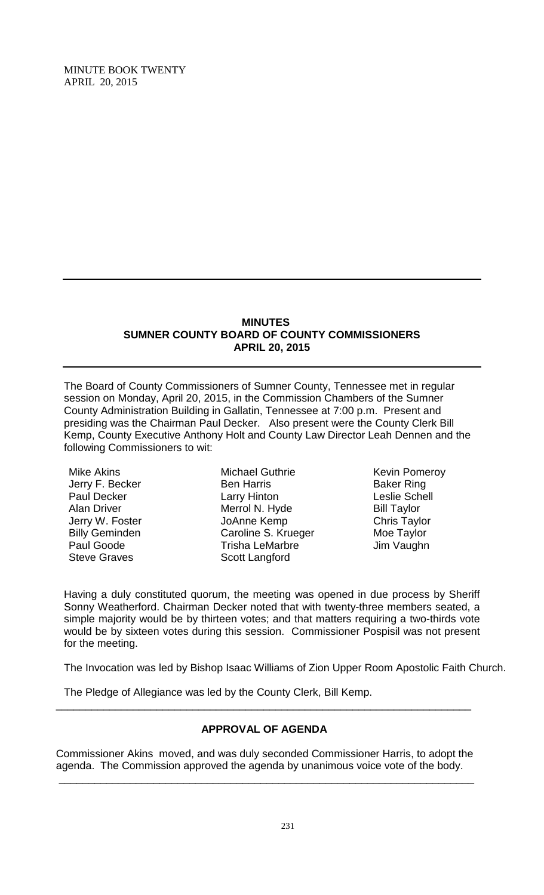#### **MINUTES SUMNER COUNTY BOARD OF COUNTY COMMISSIONERS APRIL 20, 2015**

The Board of County Commissioners of Sumner County, Tennessee met in regular session on Monday, April 20, 2015, in the Commission Chambers of the Sumner County Administration Building in Gallatin, Tennessee at 7:00 p.m. Present and presiding was the Chairman Paul Decker. Also present were the County Clerk Bill Kemp, County Executive Anthony Holt and County Law Director Leah Dennen and the following Commissioners to wit:

Mike Akins Jerry F. Becker Paul Decker Alan Driver Jerry W. Foster Billy Geminden Paul Goode Steve Graves

Michael Guthrie Ben Harris Larry Hinton Merrol N. Hyde JoAnne Kemp Caroline S. Krueger Trisha LeMarbre Scott Langford

Kevin Pomeroy Baker Ring Leslie Schell Bill Taylor Chris Taylor Moe Taylor Jim Vaughn

Having a duly constituted quorum, the meeting was opened in due process by Sheriff Sonny Weatherford. Chairman Decker noted that with twenty-three members seated, a simple majority would be by thirteen votes; and that matters requiring a two-thirds vote would be by sixteen votes during this session. Commissioner Pospisil was not present for the meeting.

The Invocation was led by Bishop Isaac Williams of Zion Upper Room Apostolic Faith Church.

The Pledge of Allegiance was led by the County Clerk, Bill Kemp.

# **APPROVAL OF AGENDA**

\_\_\_\_\_\_\_\_\_\_\_\_\_\_\_\_\_\_\_\_\_\_\_\_\_\_\_\_\_\_\_\_\_\_\_\_\_\_\_\_\_\_\_\_\_\_\_\_\_\_\_\_\_\_\_\_\_\_\_\_\_\_\_\_\_\_\_\_\_\_

Commissioner Akins moved, and was duly seconded Commissioner Harris, to adopt the agenda. The Commission approved the agenda by unanimous voice vote of the body.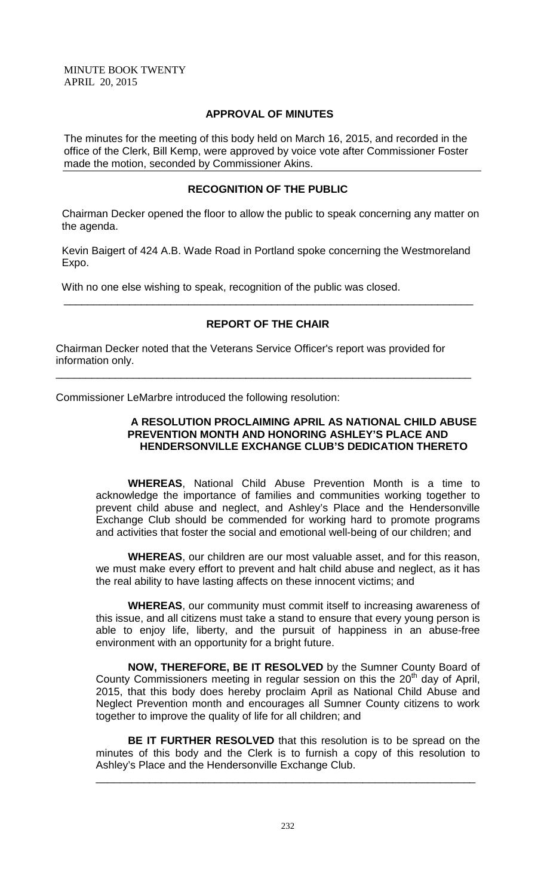### **APPROVAL OF MINUTES**

The minutes for the meeting of this body held on March 16, 2015, and recorded in the office of the Clerk, Bill Kemp, were approved by voice vote after Commissioner Foster made the motion, seconded by Commissioner Akins.

# **RECOGNITION OF THE PUBLIC**

 Chairman Decker opened the floor to allow the public to speak concerning any matter on the agenda.

 Kevin Baigert of 424 A.B. Wade Road in Portland spoke concerning the Westmoreland Expo.

With no one else wishing to speak, recognition of the public was closed.

# **REPORT OF THE CHAIR**

\_\_\_\_\_\_\_\_\_\_\_\_\_\_\_\_\_\_\_\_\_\_\_\_\_\_\_\_\_\_\_\_\_\_\_\_\_\_\_\_\_\_\_\_\_\_\_\_\_\_\_\_\_\_\_\_\_\_\_\_\_\_\_\_\_\_\_\_\_

Chairman Decker noted that the Veterans Service Officer's report was provided for information only.

\_\_\_\_\_\_\_\_\_\_\_\_\_\_\_\_\_\_\_\_\_\_\_\_\_\_\_\_\_\_\_\_\_\_\_\_\_\_\_\_\_\_\_\_\_\_\_\_\_\_\_\_\_\_\_\_\_\_\_\_\_\_\_\_\_\_\_\_\_\_

Commissioner LeMarbre introduced the following resolution:

# **A RESOLUTION PROCLAIMING APRIL AS NATIONAL CHILD ABUSE PREVENTION MONTH AND HONORING ASHLEY'S PLACE AND HENDERSONVILLE EXCHANGE CLUB'S DEDICATION THERETO**

**WHEREAS**, National Child Abuse Prevention Month is a time to acknowledge the importance of families and communities working together to prevent child abuse and neglect, and Ashley's Place and the Hendersonville Exchange Club should be commended for working hard to promote programs and activities that foster the social and emotional well-being of our children; and

**WHEREAS**, our children are our most valuable asset, and for this reason, we must make every effort to prevent and halt child abuse and neglect, as it has the real ability to have lasting affects on these innocent victims; and

**WHEREAS**, our community must commit itself to increasing awareness of this issue, and all citizens must take a stand to ensure that every young person is able to enjoy life, liberty, and the pursuit of happiness in an abuse-free environment with an opportunity for a bright future.

**NOW, THEREFORE, BE IT RESOLVED** by the Sumner County Board of County Commissioners meeting in regular session on this the  $20<sup>th</sup>$  day of April, 2015, that this body does hereby proclaim April as National Child Abuse and Neglect Prevention month and encourages all Sumner County citizens to work together to improve the quality of life for all children; and

**BE IT FURTHER RESOLVED** that this resolution is to be spread on the minutes of this body and the Clerk is to furnish a copy of this resolution to Ashley's Place and the Hendersonville Exchange Club.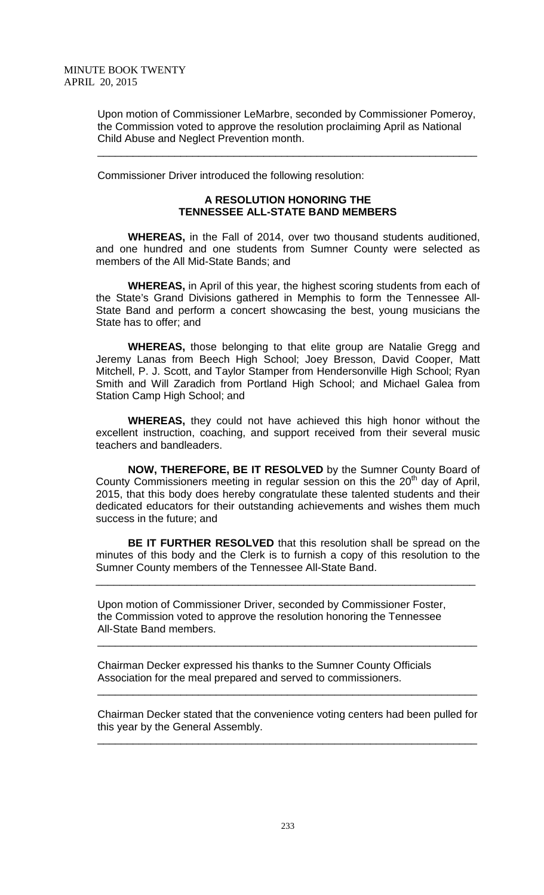Upon motion of Commissioner LeMarbre, seconded by Commissioner Pomeroy, the Commission voted to approve the resolution proclaiming April as National Child Abuse and Neglect Prevention month.

\_\_\_\_\_\_\_\_\_\_\_\_\_\_\_\_\_\_\_\_\_\_\_\_\_\_\_\_\_\_\_\_\_\_\_\_\_\_\_\_\_\_\_\_\_\_\_\_\_\_\_\_\_\_\_\_\_\_\_\_\_\_\_\_

Commissioner Driver introduced the following resolution:

## **A RESOLUTION HONORING THE TENNESSEE ALL-STATE BAND MEMBERS**

**WHEREAS,** in the Fall of 2014, over two thousand students auditioned, and one hundred and one students from Sumner County were selected as members of the All Mid-State Bands; and

**WHEREAS,** in April of this year, the highest scoring students from each of the State's Grand Divisions gathered in Memphis to form the Tennessee All-State Band and perform a concert showcasing the best, young musicians the State has to offer; and

**WHEREAS,** those belonging to that elite group are Natalie Gregg and Jeremy Lanas from Beech High School; Joey Bresson, David Cooper, Matt Mitchell, P. J. Scott, and Taylor Stamper from Hendersonville High School; Ryan Smith and Will Zaradich from Portland High School; and Michael Galea from Station Camp High School; and

**WHEREAS,** they could not have achieved this high honor without the excellent instruction, coaching, and support received from their several music teachers and bandleaders.

**NOW, THEREFORE, BE IT RESOLVED** by the Sumner County Board of County Commissioners meeting in regular session on this the  $20<sup>th</sup>$  day of April, 2015, that this body does hereby congratulate these talented students and their dedicated educators for their outstanding achievements and wishes them much success in the future; and

**BE IT FURTHER RESOLVED** that this resolution shall be spread on the minutes of this body and the Clerk is to furnish a copy of this resolution to the Sumner County members of the Tennessee All-State Band.

\_\_\_\_\_\_\_\_\_\_\_\_\_\_\_\_\_\_\_\_\_\_\_\_\_\_\_\_\_\_\_\_\_\_\_\_\_\_\_\_\_\_\_\_\_\_\_\_\_\_\_\_\_\_\_\_\_\_\_\_\_\_\_\_

 Upon motion of Commissioner Driver, seconded by Commissioner Foster, the Commission voted to approve the resolution honoring the Tennessee All-State Band members.

 Chairman Decker expressed his thanks to the Sumner County Officials Association for the meal prepared and served to commissioners.

\_\_\_\_\_\_\_\_\_\_\_\_\_\_\_\_\_\_\_\_\_\_\_\_\_\_\_\_\_\_\_\_\_\_\_\_\_\_\_\_\_\_\_\_\_\_\_\_\_\_\_\_\_\_\_\_\_\_\_\_\_\_\_\_

\_\_\_\_\_\_\_\_\_\_\_\_\_\_\_\_\_\_\_\_\_\_\_\_\_\_\_\_\_\_\_\_\_\_\_\_\_\_\_\_\_\_\_\_\_\_\_\_\_\_\_\_\_\_\_\_\_\_\_\_\_\_\_\_

\_\_\_\_\_\_\_\_\_\_\_\_\_\_\_\_\_\_\_\_\_\_\_\_\_\_\_\_\_\_\_\_\_\_\_\_\_\_\_\_\_\_\_\_\_\_\_\_\_\_\_\_\_\_\_\_\_\_\_\_\_\_\_\_

 Chairman Decker stated that the convenience voting centers had been pulled for this year by the General Assembly.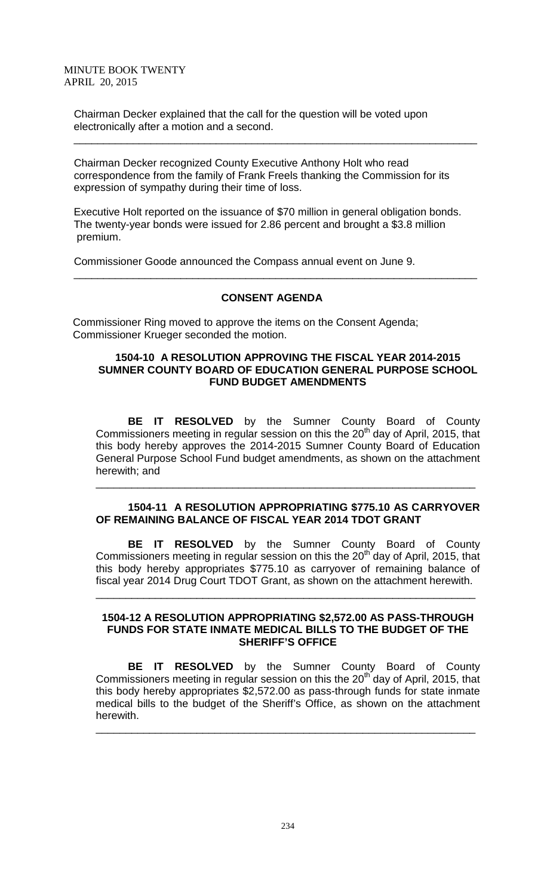Chairman Decker explained that the call for the question will be voted upon electronically after a motion and a second.

 Chairman Decker recognized County Executive Anthony Holt who read correspondence from the family of Frank Freels thanking the Commission for its expression of sympathy during their time of loss.

 $\frac{1}{\sqrt{2}}$  ,  $\frac{1}{\sqrt{2}}$  ,  $\frac{1}{\sqrt{2}}$  ,  $\frac{1}{\sqrt{2}}$  ,  $\frac{1}{\sqrt{2}}$  ,  $\frac{1}{\sqrt{2}}$  ,  $\frac{1}{\sqrt{2}}$  ,  $\frac{1}{\sqrt{2}}$  ,  $\frac{1}{\sqrt{2}}$  ,  $\frac{1}{\sqrt{2}}$  ,  $\frac{1}{\sqrt{2}}$  ,  $\frac{1}{\sqrt{2}}$  ,  $\frac{1}{\sqrt{2}}$  ,  $\frac{1}{\sqrt{2}}$  ,  $\frac{1}{\sqrt{2}}$ 

 Executive Holt reported on the issuance of \$70 million in general obligation bonds. The twenty-year bonds were issued for 2.86 percent and brought a \$3.8 million premium.

Commissioner Goode announced the Compass annual event on June 9.

# **CONSENT AGENDA**

\_\_\_\_\_\_\_\_\_\_\_\_\_\_\_\_\_\_\_\_\_\_\_\_\_\_\_\_\_\_\_\_\_\_\_\_\_\_\_\_\_\_\_\_\_\_\_\_\_\_\_\_\_\_\_\_\_\_\_\_\_\_\_\_\_\_\_\_

Commissioner Ring moved to approve the items on the Consent Agenda; Commissioner Krueger seconded the motion.

# **1504-10 A RESOLUTION APPROVING THE FISCAL YEAR 2014-2015 SUMNER COUNTY BOARD OF EDUCATION GENERAL PURPOSE SCHOOL FUND BUDGET AMENDMENTS**

**BE IT RESOLVED** by the Sumner County Board of County Commissioners meeting in regular session on this the 20<sup>th</sup> day of April, 2015, that this body hereby approves the 2014-2015 Sumner County Board of Education General Purpose School Fund budget amendments, as shown on the attachment herewith; and

# **1504-11 A RESOLUTION APPROPRIATING \$775.10 AS CARRYOVER OF REMAINING BALANCE OF FISCAL YEAR 2014 TDOT GRANT**

\_\_\_\_\_\_\_\_\_\_\_\_\_\_\_\_\_\_\_\_\_\_\_\_\_\_\_\_\_\_\_\_\_\_\_\_\_\_\_\_\_\_\_\_\_\_\_\_\_\_\_\_\_\_\_\_\_\_\_\_\_\_\_\_

**BE IT RESOLVED** by the Sumner County Board of County Commissioners meeting in regular session on this the 20<sup>th</sup> day of April, 2015, that this body hereby appropriates \$775.10 as carryover of remaining balance of fiscal year 2014 Drug Court TDOT Grant, as shown on the attachment herewith.

#### **1504-12 A RESOLUTION APPROPRIATING \$2,572.00 AS PASS-THROUGH FUNDS FOR STATE INMATE MEDICAL BILLS TO THE BUDGET OF THE SHERIFF'S OFFICE**

\_\_\_\_\_\_\_\_\_\_\_\_\_\_\_\_\_\_\_\_\_\_\_\_\_\_\_\_\_\_\_\_\_\_\_\_\_\_\_\_\_\_\_\_\_\_\_\_\_\_\_\_\_\_\_\_\_\_\_\_\_\_\_\_

**BE IT RESOLVED** by the Sumner County Board of County Commissioners meeting in regular session on this the 20<sup>th</sup> day of April, 2015, that this body hereby appropriates \$2,572.00 as pass-through funds for state inmate medical bills to the budget of the Sheriff's Office, as shown on the attachment herewith.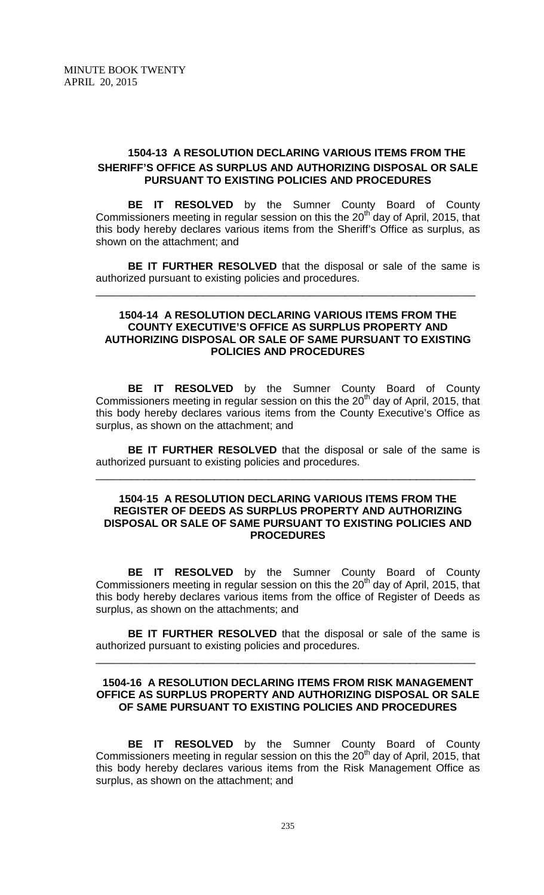# **1504-13 A RESOLUTION DECLARING VARIOUS ITEMS FROM THE SHERIFF'S OFFICE AS SURPLUS AND AUTHORIZING DISPOSAL OR SALE PURSUANT TO EXISTING POLICIES AND PROCEDURES**

**BE IT RESOLVED** by the Sumner County Board of County Commissioners meeting in regular session on this the  $20<sup>th</sup>$  day of April, 2015, that this body hereby declares various items from the Sheriff's Office as surplus, as shown on the attachment; and

**BE IT FURTHER RESOLVED** that the disposal or sale of the same is authorized pursuant to existing policies and procedures.

\_\_\_\_\_\_\_\_\_\_\_\_\_\_\_\_\_\_\_\_\_\_\_\_\_\_\_\_\_\_\_\_\_\_\_\_\_\_\_\_\_\_\_\_\_\_\_\_\_\_\_\_\_\_\_\_\_\_\_\_\_\_\_\_

# **1504-14 A RESOLUTION DECLARING VARIOUS ITEMS FROM THE COUNTY EXECUTIVE'S OFFICE AS SURPLUS PROPERTY AND AUTHORIZING DISPOSAL OR SALE OF SAME PURSUANT TO EXISTING POLICIES AND PROCEDURES**

**BE IT RESOLVED** by the Sumner County Board of County Commissioners meeting in regular session on this the  $20<sup>th</sup>$  day of April, 2015, that this body hereby declares various items from the County Executive's Office as surplus, as shown on the attachment; and

**BE IT FURTHER RESOLVED** that the disposal or sale of the same is authorized pursuant to existing policies and procedures.

\_\_\_\_\_\_\_\_\_\_\_\_\_\_\_\_\_\_\_\_\_\_\_\_\_\_\_\_\_\_\_\_\_\_\_\_\_\_\_\_\_\_\_\_\_\_\_\_\_\_\_\_\_\_\_\_\_\_\_\_\_\_\_\_

# **1504**-**15 A RESOLUTION DECLARING VARIOUS ITEMS FROM THE REGISTER OF DEEDS AS SURPLUS PROPERTY AND AUTHORIZING DISPOSAL OR SALE OF SAME PURSUANT TO EXISTING POLICIES AND PROCEDURES**

**BE IT RESOLVED** by the Sumner County Board of County Commissioners meeting in regular session on this the 20<sup>th</sup> day of April, 2015, that this body hereby declares various items from the office of Register of Deeds as surplus, as shown on the attachments; and

**BE IT FURTHER RESOLVED** that the disposal or sale of the same is authorized pursuant to existing policies and procedures.

\_\_\_\_\_\_\_\_\_\_\_\_\_\_\_\_\_\_\_\_\_\_\_\_\_\_\_\_\_\_\_\_\_\_\_\_\_\_\_\_\_\_\_\_\_\_\_\_\_\_\_\_\_\_\_\_\_\_\_\_\_\_\_\_

# **1504-16 A RESOLUTION DECLARING ITEMS FROM RISK MANAGEMENT OFFICE AS SURPLUS PROPERTY AND AUTHORIZING DISPOSAL OR SALE OF SAME PURSUANT TO EXISTING POLICIES AND PROCEDURES**

**BE IT RESOLVED** by the Sumner County Board of County Commissioners meeting in regular session on this the 20<sup>th</sup> day of April, 2015, that this body hereby declares various items from the Risk Management Office as surplus, as shown on the attachment; and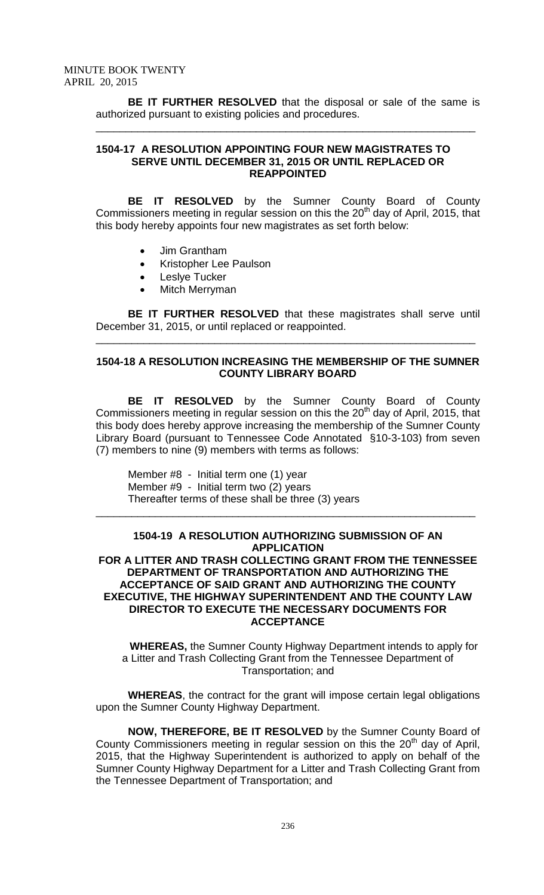**BE IT FURTHER RESOLVED** that the disposal or sale of the same is authorized pursuant to existing policies and procedures.

\_\_\_\_\_\_\_\_\_\_\_\_\_\_\_\_\_\_\_\_\_\_\_\_\_\_\_\_\_\_\_\_\_\_\_\_\_\_\_\_\_\_\_\_\_\_\_\_\_\_\_\_\_\_\_\_\_\_\_\_\_\_\_\_

# **1504-17 A RESOLUTION APPOINTING FOUR NEW MAGISTRATES TO SERVE UNTIL DECEMBER 31, 2015 OR UNTIL REPLACED OR REAPPOINTED**

**BE IT RESOLVED** by the Sumner County Board of County Commissioners meeting in regular session on this the 20<sup>th</sup> day of April, 2015, that this body hereby appoints four new magistrates as set forth below:

- Jim Grantham
- Kristopher Lee Paulson
- Leslye Tucker
- Mitch Merryman

**BE IT FURTHER RESOLVED** that these magistrates shall serve until December 31, 2015, or until replaced or reappointed.

\_\_\_\_\_\_\_\_\_\_\_\_\_\_\_\_\_\_\_\_\_\_\_\_\_\_\_\_\_\_\_\_\_\_\_\_\_\_\_\_\_\_\_\_\_\_\_\_\_\_\_\_\_\_\_\_\_\_\_\_\_\_\_\_

# **1504-18 A RESOLUTION INCREASING THE MEMBERSHIP OF THE SUMNER COUNTY LIBRARY BOARD**

**BE IT RESOLVED** by the Sumner County Board of County Commissioners meeting in regular session on this the 20<sup>th</sup> day of April, 2015, that this body does hereby approve increasing the membership of the Sumner County Library Board (pursuant to Tennessee Code Annotated §10-3-103) from seven (7) members to nine (9) members with terms as follows:

Member #8 - Initial term one (1) year Member #9 - Initial term two (2) years Thereafter terms of these shall be three (3) years

#### **1504-19 A RESOLUTION AUTHORIZING SUBMISSION OF AN APPLICATION FOR A LITTER AND TRASH COLLECTING GRANT FROM THE TENNESSEE DEPARTMENT OF TRANSPORTATION AND AUTHORIZING THE ACCEPTANCE OF SAID GRANT AND AUTHORIZING THE COUNTY EXECUTIVE, THE HIGHWAY SUPERINTENDENT AND THE COUNTY LAW DIRECTOR TO EXECUTE THE NECESSARY DOCUMENTS FOR ACCEPTANCE**

\_\_\_\_\_\_\_\_\_\_\_\_\_\_\_\_\_\_\_\_\_\_\_\_\_\_\_\_\_\_\_\_\_\_\_\_\_\_\_\_\_\_\_\_\_\_\_\_\_\_\_\_\_\_\_\_\_\_\_\_\_\_\_\_

**WHEREAS,** the Sumner County Highway Department intends to apply for a Litter and Trash Collecting Grant from the Tennessee Department of Transportation; and

**WHEREAS**, the contract for the grant will impose certain legal obligations upon the Sumner County Highway Department.

**NOW, THEREFORE, BE IT RESOLVED** by the Sumner County Board of County Commissioners meeting in regular session on this the  $20<sup>th</sup>$  day of April, 2015, that the Highway Superintendent is authorized to apply on behalf of the Sumner County Highway Department for a Litter and Trash Collecting Grant from the Tennessee Department of Transportation; and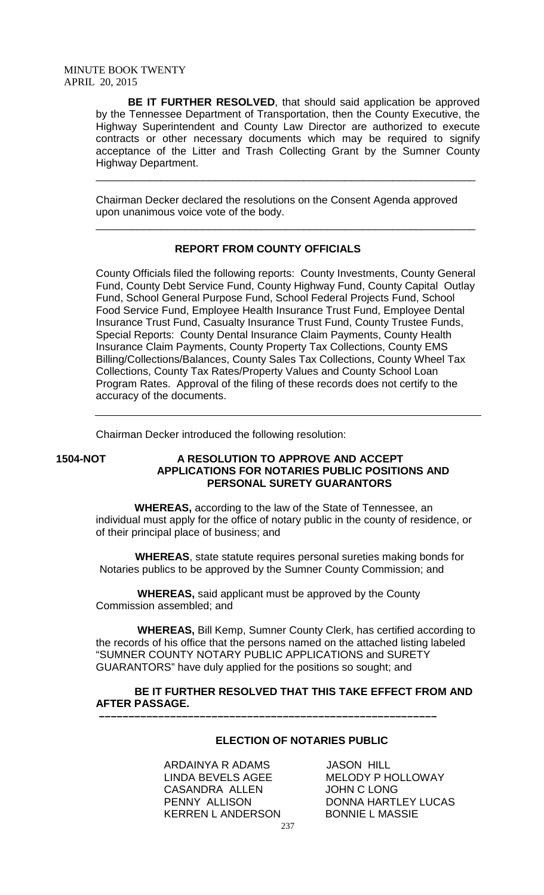**BE IT FURTHER RESOLVED**, that should said application be approved by the Tennessee Department of Transportation, then the County Executive, the Highway Superintendent and County Law Director are authorized to execute contracts or other necessary documents which may be required to signify acceptance of the Litter and Trash Collecting Grant by the Sumner County Highway Department.

\_\_\_\_\_\_\_\_\_\_\_\_\_\_\_\_\_\_\_\_\_\_\_\_\_\_\_\_\_\_\_\_\_\_\_\_\_\_\_\_\_\_\_\_\_\_\_\_\_\_\_\_\_\_\_\_\_\_\_\_\_\_\_\_

\_\_\_\_\_\_\_\_\_\_\_\_\_\_\_\_\_\_\_\_\_\_\_\_\_\_\_\_\_\_\_\_\_\_\_\_\_\_\_\_\_\_\_\_\_\_\_\_\_\_\_\_\_\_\_\_\_\_\_\_\_\_\_\_

Chairman Decker declared the resolutions on the Consent Agenda approved upon unanimous voice vote of the body.

# **REPORT FROM COUNTY OFFICIALS**

County Officials filed the following reports: County Investments, County General Fund, County Debt Service Fund, County Highway Fund, County Capital Outlay Fund, School General Purpose Fund, School Federal Projects Fund, School Food Service Fund, Employee Health Insurance Trust Fund, Employee Dental Insurance Trust Fund, Casualty Insurance Trust Fund, County Trustee Funds, Special Reports: County Dental Insurance Claim Payments, County Health Insurance Claim Payments, County Property Tax Collections, County EMS Billing/Collections/Balances, County Sales Tax Collections, County Wheel Tax Collections, County Tax Rates/Property Values and County School Loan Program Rates. Approval of the filing of these records does not certify to the accuracy of the documents.

Chairman Decker introduced the following resolution:

# **1504-NOT A RESOLUTION TO APPROVE AND ACCEPT APPLICATIONS FOR NOTARIES PUBLIC POSITIONS AND PERSONAL SURETY GUARANTORS**

 **WHEREAS,** according to the law of the State of Tennessee, an individual must apply for the office of notary public in the county of residence, or of their principal place of business; and

 **WHEREAS**, state statute requires personal sureties making bonds for Notaries publics to be approved by the Sumner County Commission; and

 **WHEREAS,** said applicant must be approved by the County Commission assembled; and

 **–––––––––––––––––––––––––––––––––––––––––––––––––––––––––**

 **WHEREAS,** Bill Kemp, Sumner County Clerk, has certified according to the records of his office that the persons named on the attached listing labeled "SUMNER COUNTY NOTARY PUBLIC APPLICATIONS and SURETY GUARANTORS" have duly applied for the positions so sought; and

# **BE IT FURTHER RESOLVED THAT THIS TAKE EFFECT FROM AND AFTER PASSAGE.**

# **ELECTION OF NOTARIES PUBLIC**

ARDAINYA R ADAMS JASON HILL LINDA BEVELS AGEE MELODY P HOLLOWAY CASANDRA ALLEN JOHN C LONG KERREN L ANDERSON BONNIE L MASSIE

PENNY ALLISON DONNA HARTLEY LUCAS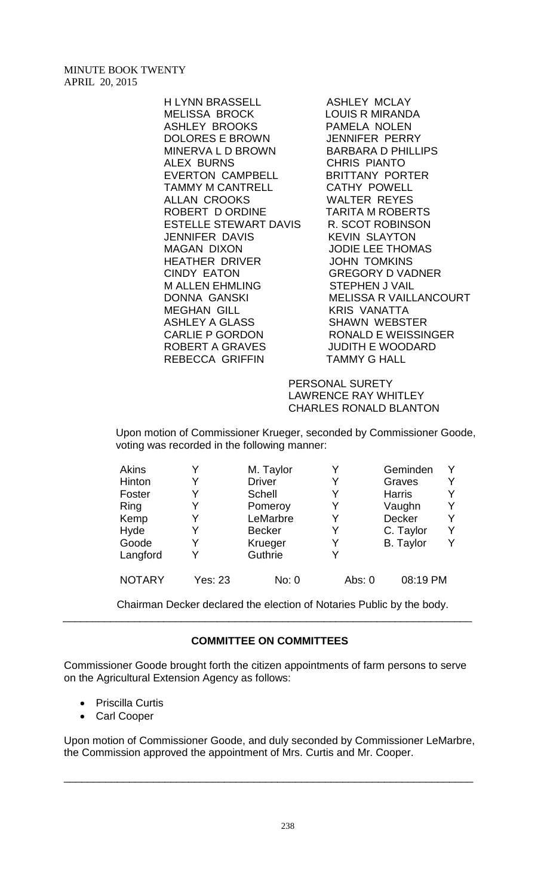H LYNN BRASSELL ASHLEY MCLAY MELISSA BROCK LOUIS R MIRANDA ASHLEY BROOKS PAMELA NOLEN DOLORES E BROWN MINERVA L D BROWN BARBARA D PHILLIPS ALEX BURNS<br>
EVERTON CAMPBELL BRITTANY PORTER EVERTON CAMPBELL TAMMY M CANTRELL CATHY POWELL ALLAN CROOKS WALTER REYES ROBERT D ORDINE TARITA M ROBERTS ESTELLE STEWART DAVIS R. SCOT ROBINSON JENNIFER DAVIS KEVIN SLAYTON MAGAN DIXON JODIE LEE THOMAS HEATHER DRIVER JOHN TOMKINS CINDY EATON GREGORY D VADNER M ALLEN EHMLING STEPHEN J VAIL MEGHAN GILL KRIS VANATTA ASHLEY A GLASS SHAWN WEBSTER CARLIE P GORDON RONALD E WEISSINGER ROBERT A GRAVES JUDITH E WOODARD REBECCA GRIFFIN TAMMY G HALL

DONNA GANSKI MELISSA R VAILLANCOURT

 PERSONAL SURETY LAWRENCE RAY WHITLEY CHARLES RONALD BLANTON

 Upon motion of Commissioner Krueger, seconded by Commissioner Goode, voting was recorded in the following manner:

| <b>Akins</b>  |                | M. Taylor     |          | Geminden         |   |
|---------------|----------------|---------------|----------|------------------|---|
| Hinton        | Y              | <b>Driver</b> | Y        | Graves           |   |
| Foster        | Y              | <b>Schell</b> |          | <b>Harris</b>    |   |
| Ring          | Y              | Pomeroy       | Y        | Vaughn           |   |
| Kemp          | Y              | LeMarbre      | Y        | Decker           | v |
| Hyde          | Y              | <b>Becker</b> | Y        | C. Taylor        |   |
| Goode         | Y              | Krueger       | Y        | <b>B.</b> Taylor |   |
| Langford      | Y              | Guthrie       |          |                  |   |
| <b>NOTARY</b> | <b>Yes: 23</b> | No: 0         | Abs: $0$ | 08:19 PM         |   |

Chairman Decker declared the election of Notaries Public by the body.

# **COMMITTEE ON COMMITTEES**

\_\_\_\_\_\_\_\_\_\_\_\_\_\_\_\_\_\_\_\_\_\_\_\_\_\_\_\_\_\_\_\_\_\_\_\_\_\_\_\_\_\_\_\_\_\_\_\_\_\_\_\_\_\_\_\_\_\_\_\_\_\_\_\_\_\_\_\_\_

Commissioner Goode brought forth the citizen appointments of farm persons to serve on the Agricultural Extension Agency as follows:

- Priscilla Curtis
- Carl Cooper

Upon motion of Commissioner Goode, and duly seconded by Commissioner LeMarbre, the Commission approved the appointment of Mrs. Curtis and Mr. Cooper.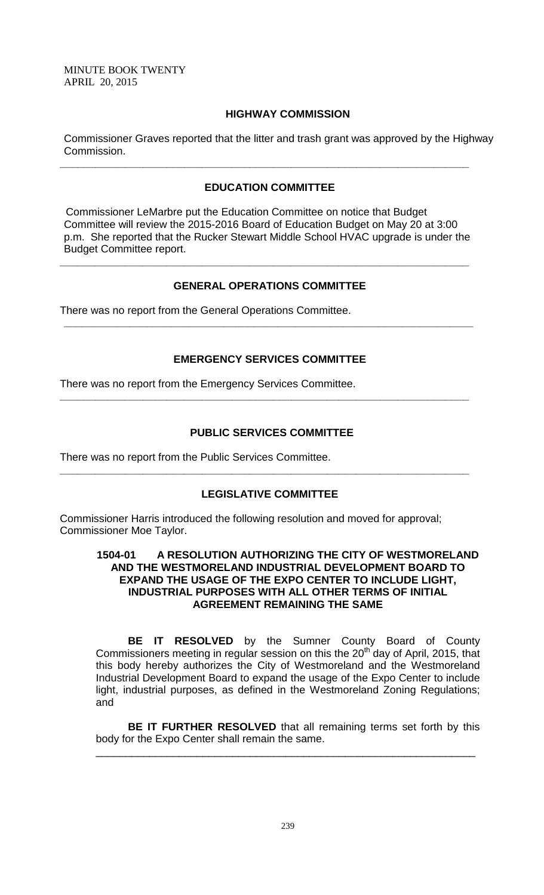### **HIGHWAY COMMISSION**

Commissioner Graves reported that the litter and trash grant was approved by the Highway Commission.

# **EDUCATION COMMITTEE**

**\_\_\_\_\_\_\_\_\_\_\_\_\_\_\_\_\_\_\_\_\_\_\_\_\_\_\_\_\_\_\_\_\_\_\_\_\_\_\_\_\_\_\_\_\_\_\_\_\_\_\_\_\_\_\_\_\_\_\_\_\_\_\_\_\_\_\_\_\_**

 Commissioner LeMarbre put the Education Committee on notice that Budget Committee will review the 2015-2016 Board of Education Budget on May 20 at 3:00 p.m. She reported that the Rucker Stewart Middle School HVAC upgrade is under the Budget Committee report.

**\_\_\_\_\_\_\_\_\_\_\_\_\_\_\_\_\_\_\_\_\_\_\_\_\_\_\_\_\_\_\_\_\_\_\_\_\_\_\_\_\_\_\_\_\_\_\_\_\_\_\_\_\_\_\_\_\_\_\_\_\_\_\_\_\_\_\_\_\_**

# **GENERAL OPERATIONS COMMITTEE**

There was no report from the General Operations Committee.

# **EMERGENCY SERVICES COMMITTEE**

**\_\_\_\_\_\_\_\_\_\_\_\_\_\_\_\_\_\_\_\_\_\_\_\_\_\_\_\_\_\_\_\_\_\_\_\_\_\_\_\_\_\_\_\_\_\_\_\_\_\_\_\_\_\_\_\_\_\_\_\_\_\_\_\_\_\_\_\_\_**

**\_\_\_\_\_\_\_\_\_\_\_\_\_\_\_\_\_\_\_\_\_\_\_\_\_\_\_\_\_\_\_\_\_\_\_\_\_\_\_\_\_\_\_\_\_\_\_\_\_\_\_\_\_\_\_\_\_\_\_\_\_\_\_\_\_\_\_\_\_**

There was no report from the Emergency Services Committee.

# **PUBLIC SERVICES COMMITTEE**

There was no report from the Public Services Committee.

# **LEGISLATIVE COMMITTEE**

**\_\_\_\_\_\_\_\_\_\_\_\_\_\_\_\_\_\_\_\_\_\_\_\_\_\_\_\_\_\_\_\_\_\_\_\_\_\_\_\_\_\_\_\_\_\_\_\_\_\_\_\_\_\_\_\_\_\_\_\_\_\_\_\_\_\_\_\_\_**

Commissioner Harris introduced the following resolution and moved for approval; Commissioner Moe Taylor.

# **1504-01 A RESOLUTION AUTHORIZING THE CITY OF WESTMORELAND AND THE WESTMORELAND INDUSTRIAL DEVELOPMENT BOARD TO EXPAND THE USAGE OF THE EXPO CENTER TO INCLUDE LIGHT, INDUSTRIAL PURPOSES WITH ALL OTHER TERMS OF INITIAL AGREEMENT REMAINING THE SAME**

**BE IT RESOLVED** by the Sumner County Board of County Commissioners meeting in regular session on this the 20<sup>th</sup> day of April, 2015, that this body hereby authorizes the City of Westmoreland and the Westmoreland Industrial Development Board to expand the usage of the Expo Center to include light, industrial purposes, as defined in the Westmoreland Zoning Regulations; and

**BE IT FURTHER RESOLVED** that all remaining terms set forth by this body for the Expo Center shall remain the same.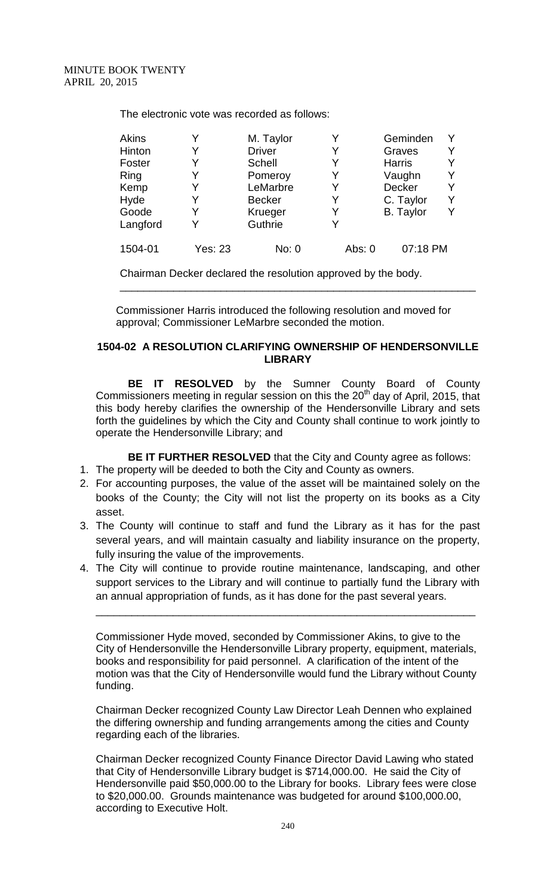The electronic vote was recorded as follows:

| Akins    | Y       | M. Taylor     | Y        | Geminden         | Y |
|----------|---------|---------------|----------|------------------|---|
| Hinton   | Y       | <b>Driver</b> | Y        | Graves           | Y |
| Foster   |         | <b>Schell</b> | Y        | <b>Harris</b>    | Y |
| Ring     | Y       | Pomeroy       | Y        | Vaughn           | Y |
| Kemp     | Y       | LeMarbre      | Y        | <b>Decker</b>    | Y |
| Hyde     |         | <b>Becker</b> | Y        | C. Taylor        | Y |
| Goode    | Y       | Krueger       | Y        | <b>B.</b> Taylor | Y |
| Langford | Y       | Guthrie       | v        |                  |   |
| 1504-01  | Yes: 23 | No: 0         | Abs: $0$ | 07:18 PM         |   |

Chairman Decker declared the resolution approved by the body.

Commissioner Harris introduced the following resolution and moved for approval; Commissioner LeMarbre seconded the motion.

\_\_\_\_\_\_\_\_\_\_\_\_\_\_\_\_\_\_\_\_\_\_\_\_\_\_\_\_\_\_\_\_\_\_\_\_\_\_\_\_\_\_\_\_\_\_\_\_\_\_\_\_\_\_\_\_\_\_\_\_

# **1504-02 A RESOLUTION CLARIFYING OWNERSHIP OF HENDERSONVILLE LIBRARY**

**BE IT RESOLVED** by the Sumner County Board of County Commissioners meeting in regular session on this the 20<sup>th</sup> day of April, 2015, that this body hereby clarifies the ownership of the Hendersonville Library and sets forth the guidelines by which the City and County shall continue to work jointly to operate the Hendersonville Library; and

**BE IT FURTHER RESOLVED** that the City and County agree as follows:

- 1. The property will be deeded to both the City and County as owners.
- 2. For accounting purposes, the value of the asset will be maintained solely on the books of the County; the City will not list the property on its books as a City asset.
- 3. The County will continue to staff and fund the Library as it has for the past several years, and will maintain casualty and liability insurance on the property, fully insuring the value of the improvements.
- 4. The City will continue to provide routine maintenance, landscaping, and other support services to the Library and will continue to partially fund the Library with an annual appropriation of funds, as it has done for the past several years.

\_\_\_\_\_\_\_\_\_\_\_\_\_\_\_\_\_\_\_\_\_\_\_\_\_\_\_\_\_\_\_\_\_\_\_\_\_\_\_\_\_\_\_\_\_\_\_\_\_\_\_\_\_\_\_\_\_\_\_\_\_\_\_\_

Commissioner Hyde moved, seconded by Commissioner Akins, to give to the City of Hendersonville the Hendersonville Library property, equipment, materials, books and responsibility for paid personnel. A clarification of the intent of the motion was that the City of Hendersonville would fund the Library without County funding.

Chairman Decker recognized County Law Director Leah Dennen who explained the differing ownership and funding arrangements among the cities and County regarding each of the libraries.

Chairman Decker recognized County Finance Director David Lawing who stated that City of Hendersonville Library budget is \$714,000.00. He said the City of Hendersonville paid \$50,000.00 to the Library for books. Library fees were close to \$20,000.00. Grounds maintenance was budgeted for around \$100,000.00, according to Executive Holt.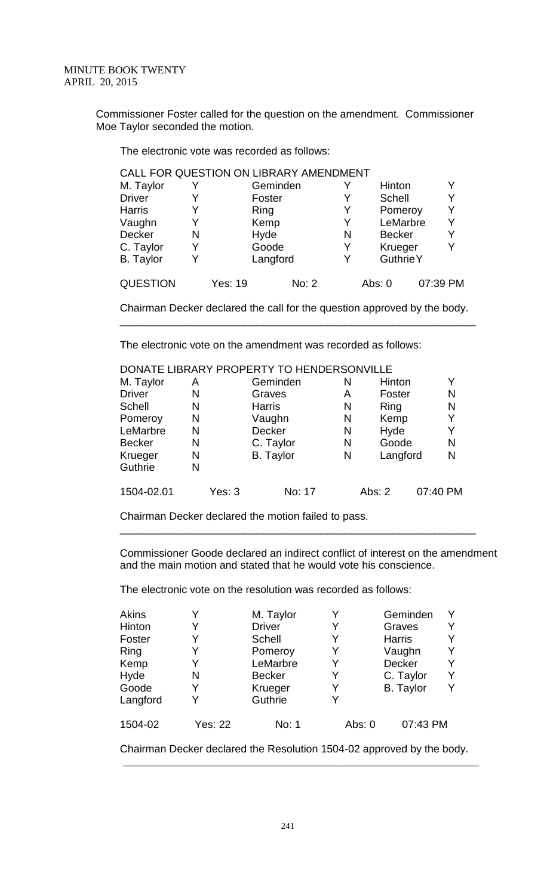Commissioner Foster called for the question on the amendment. Commissioner Moe Taylor seconded the motion.

The electronic vote was recorded as follows:

| CALL FOR QUESTION ON LIBRARY AMENDMENT |   |         |          |   |                  |          |
|----------------------------------------|---|---------|----------|---|------------------|----------|
| M. Taylor                              |   |         | Geminden |   | Hinton           | Y        |
| <b>Driver</b>                          | Y |         | Foster   | Y | Schell           | Y        |
| <b>Harris</b>                          | Y | Ring    |          | Y | Pomeroy          | Y        |
| Vaughn                                 | Y | Kemp    |          |   | LeMarbre         | Υ        |
| Decker                                 | N | Hyde    |          | N | <b>Becker</b>    | Y        |
| C. Taylor                              | Y |         | Goode    | Y | Krueger          | Y        |
| <b>B.</b> Taylor                       | Y |         | Langford |   | <b>Guthrie Y</b> |          |
| <b>QUESTION</b>                        |   | Yes: 19 | No: 2    |   | Abs: $0$         | 07:39 PM |

Chairman Decker declared the call for the question approved by the body. \_\_\_\_\_\_\_\_\_\_\_\_\_\_\_\_\_\_\_\_\_\_\_\_\_\_\_\_\_\_\_\_\_\_\_\_\_\_\_\_\_\_\_\_\_\_\_\_\_\_\_\_\_\_\_\_\_\_\_\_

The electronic vote on the amendment was recorded as follows:

|               |   |        | DONATE LIBRARY PROPERTY TO HENDERSONVILLE |   |          |          |
|---------------|---|--------|-------------------------------------------|---|----------|----------|
| M. Taylor     | A |        | Geminden                                  | N | Hinton   | Y        |
| <b>Driver</b> | N |        | Graves                                    | A | Foster   | Ν        |
| <b>Schell</b> | N |        | <b>Harris</b>                             | N | Ring     | N        |
| Pomeroy       | N |        | Vaughn                                    | N | Kemp     | Y        |
| LeMarbre      | N |        | Decker                                    | N | Hyde     | Y        |
| <b>Becker</b> | N |        | C. Taylor                                 | N | Goode    | N        |
| Krueger       | N |        | <b>B.</b> Taylor                          | N | Langford | N        |
| Guthrie       | N |        |                                           |   |          |          |
| 1504-02.01    |   | Yes: 3 | No: 17                                    |   | Abs: $2$ | 07:40 PM |

Chairman Decker declared the motion failed to pass.

Commissioner Goode declared an indirect conflict of interest on the amendment and the main motion and stated that he would vote his conscience.

\_\_\_\_\_\_\_\_\_\_\_\_\_\_\_\_\_\_\_\_\_\_\_\_\_\_\_\_\_\_\_\_\_\_\_\_\_\_\_\_\_\_\_\_\_\_\_\_\_\_\_\_\_\_\_\_\_\_\_\_

The electronic vote on the resolution was recorded as follows:

| Akins    |                | M. Taylor     |          | Geminden         |   |
|----------|----------------|---------------|----------|------------------|---|
| Hinton   | Y              | <b>Driver</b> |          | Graves           |   |
| Foster   | Y              | Schell        |          | <b>Harris</b>    |   |
| Ring     | Y              | Pomeroy       |          | Vaughn           |   |
| Kemp     | Y              | LeMarbre      |          | <b>Decker</b>    |   |
| Hyde     | N              | <b>Becker</b> |          | C. Taylor        | Y |
| Goode    | Y              | Krueger       | Y        | <b>B.</b> Taylor | Υ |
| Langford | Y              | Guthrie       |          |                  |   |
| 1504-02  | <b>Yes: 22</b> | No: 1         | Abs: $0$ | 07:43 PM         |   |
|          |                |               |          |                  |   |

Chairman Decker declared the Resolution 1504-02 approved by the body.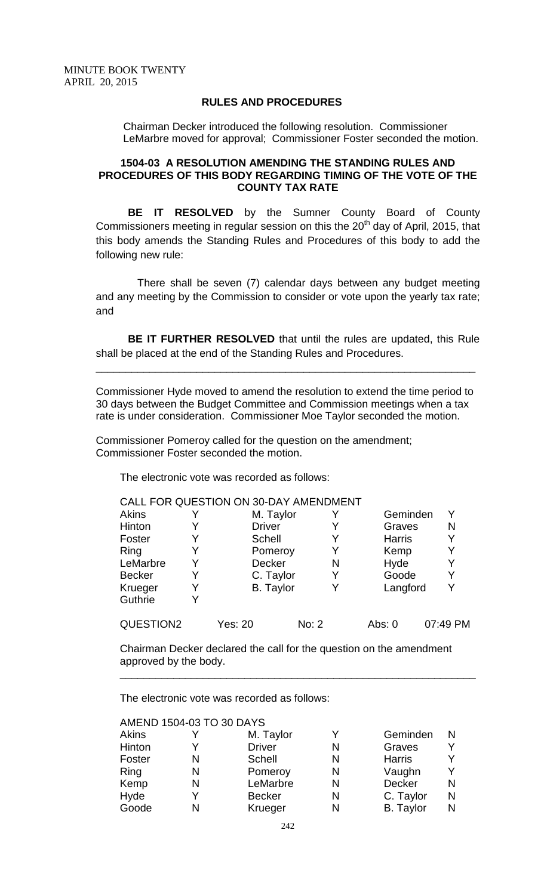# **RULES AND PROCEDURES**

Chairman Decker introduced the following resolution. Commissioner LeMarbre moved for approval; Commissioner Foster seconded the motion.

# **1504-03 A RESOLUTION AMENDING THE STANDING RULES AND PROCEDURES OF THIS BODY REGARDING TIMING OF THE VOTE OF THE COUNTY TAX RATE**

**BE IT RESOLVED** by the Sumner County Board of County Commissioners meeting in regular session on this the  $20<sup>th</sup>$  day of April, 2015, that this body amends the Standing Rules and Procedures of this body to add the following new rule:

 There shall be seven (7) calendar days between any budget meeting and any meeting by the Commission to consider or vote upon the yearly tax rate; and

**BE IT FURTHER RESOLVED** that until the rules are updated, this Rule shall be placed at the end of the Standing Rules and Procedures.

Commissioner Hyde moved to amend the resolution to extend the time period to 30 days between the Budget Committee and Commission meetings when a tax rate is under consideration. Commissioner Moe Taylor seconded the motion.

\_\_\_\_\_\_\_\_\_\_\_\_\_\_\_\_\_\_\_\_\_\_\_\_\_\_\_\_\_\_\_\_\_\_\_\_\_\_\_\_\_\_\_\_\_\_\_\_\_\_\_\_\_\_\_\_\_\_\_\_\_\_\_\_

Commissioner Pomeroy called for the question on the amendment; Commissioner Foster seconded the motion.

The electronic vote was recorded as follows:

|               |   | CALL FOR QUESTION ON 30-DAY AMENDMENT |       |   |               |          |
|---------------|---|---------------------------------------|-------|---|---------------|----------|
| Akins         |   | M. Taylor                             |       |   | Geminden      | Y        |
| Hinton        |   | <b>Driver</b>                         |       |   | Graves        | N        |
| Foster        | Y | Schell                                |       | Y | <b>Harris</b> | Y        |
| Ring          | Y | Pomeroy                               |       |   | Kemp          | Y        |
| LeMarbre      | Y | Decker                                |       | N | Hyde          | Y        |
| <b>Becker</b> | Y | C. Taylor                             |       | Y | Goode         | Y        |
| Krueger       | Y | <b>B.</b> Taylor                      |       |   | Langford      | Y        |
| Guthrie       | Y |                                       |       |   |               |          |
| QUESTION2     |   | Yes: 20                               | No: 2 |   | Abs: $0$      | 07:49 PM |

Chairman Decker declared the call for the question on the amendment approved by the body.

\_\_\_\_\_\_\_\_\_\_\_\_\_\_\_\_\_\_\_\_\_\_\_\_\_\_\_\_\_\_\_\_\_\_\_\_\_\_\_\_\_\_\_\_\_\_\_\_\_\_\_\_\_\_\_\_\_\_\_\_

The electronic vote was recorded as follows:

|              | AMEND 1504-03 TO 30 DAYS |               |   |                  |   |
|--------------|--------------------------|---------------|---|------------------|---|
| <b>Akins</b> |                          | M. Taylor     | Y | Geminden         |   |
| Hinton       |                          | <b>Driver</b> | N | Graves           |   |
| Foster       | N                        | <b>Schell</b> | N | <b>Harris</b>    |   |
| Ring         | N                        | Pomeroy       | N | Vaughn           |   |
| Kemp         | N                        | LeMarbre      | N | Decker           | N |
| Hyde         | Y                        | <b>Becker</b> | N | C. Taylor        | N |
| Goode        | N                        | Krueger       | N | <b>B.</b> Taylor | N |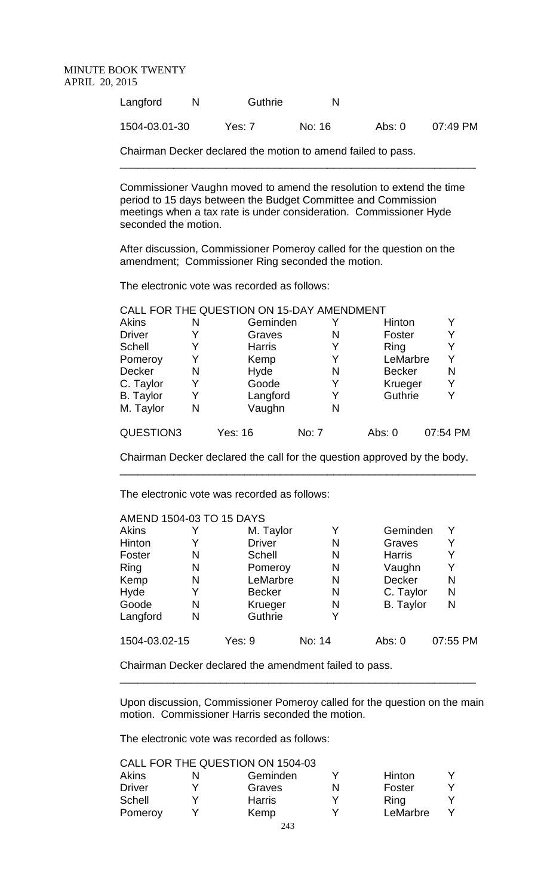| Langford      | Guthrie  | N      |        |          |
|---------------|----------|--------|--------|----------|
| 1504-03.01-30 | Yes: $7$ | No: 16 | Abs: 0 | 07:49 PM |

\_\_\_\_\_\_\_\_\_\_\_\_\_\_\_\_\_\_\_\_\_\_\_\_\_\_\_\_\_\_\_\_\_\_\_\_\_\_\_\_\_\_\_\_\_\_\_\_\_\_\_\_\_\_\_\_\_\_\_\_

Chairman Decker declared the motion to amend failed to pass.

Commissioner Vaughn moved to amend the resolution to extend the time period to 15 days between the Budget Committee and Commission meetings when a tax rate is under consideration. Commissioner Hyde seconded the motion.

After discussion, Commissioner Pomeroy called for the question on the amendment; Commissioner Ring seconded the motion.

The electronic vote was recorded as follows:

|                  |   | CALL FOR THE QUESTION ON 15-DAY AMENDMENT |       |               |          |
|------------------|---|-------------------------------------------|-------|---------------|----------|
| <b>Akins</b>     | N | Geminden                                  |       | Hinton        |          |
| <b>Driver</b>    | Y | Graves                                    | N     | Foster        | Y        |
| <b>Schell</b>    | Y | <b>Harris</b>                             | Y     | Ring          |          |
| Pomeroy          | Y | Kemp                                      |       | LeMarbre      | Y        |
| Decker           | N | Hyde                                      | N     | <b>Becker</b> | N        |
| C. Taylor        | Y | Goode                                     | Y     | Krueger       | Y        |
| <b>B.</b> Taylor | Y | Langford                                  | Y     | Guthrie       |          |
| M. Taylor        | N | Vaughn                                    | N     |               |          |
| QUESTION3        |   | Yes: 16                                   | No: 7 | Abs: 0        | 07:54 PM |

Chairman Decker declared the call for the question approved by the body. \_\_\_\_\_\_\_\_\_\_\_\_\_\_\_\_\_\_\_\_\_\_\_\_\_\_\_\_\_\_\_\_\_\_\_\_\_\_\_\_\_\_\_\_\_\_\_\_\_\_\_\_\_\_\_\_\_\_\_\_

The electronic vote was recorded as follows:

|               |   | AMEND 1504-03 TO 15 DAYS |        |                  |          |
|---------------|---|--------------------------|--------|------------------|----------|
| Akins         |   | M. Taylor                | Y      | Geminden         | Y        |
| Hinton        |   | <b>Driver</b>            | N      | Graves           | Y        |
| Foster        | N | <b>Schell</b>            | N      | <b>Harris</b>    |          |
| Ring          | N | Pomeroy                  | N      | Vaughn           | Y        |
| Kemp          | N | LeMarbre                 | N      | <b>Decker</b>    | N        |
| Hyde          | Y | <b>Becker</b>            | N      | C. Taylor        | N        |
| Goode         | N | Krueger                  | N      | <b>B.</b> Taylor | N        |
| Langford      | N | Guthrie                  |        |                  |          |
| 1504-03.02-15 |   | Yes: 9                   | No: 14 | Abs: $0$         | 07:55 PM |

Chairman Decker declared the amendment failed to pass.

Upon discussion, Commissioner Pomeroy called for the question on the main motion. Commissioner Harris seconded the motion.

\_\_\_\_\_\_\_\_\_\_\_\_\_\_\_\_\_\_\_\_\_\_\_\_\_\_\_\_\_\_\_\_\_\_\_\_\_\_\_\_\_\_\_\_\_\_\_\_\_\_\_\_\_\_\_\_\_\_\_\_

The electronic vote was recorded as follows:

CALL FOR THE QUESTION ON 1504-03

| Akins         | N | Geminden      |   | <b>Hinton</b> |  |
|---------------|---|---------------|---|---------------|--|
| <b>Driver</b> |   | Graves        | N | Foster        |  |
| <b>Schell</b> |   | <b>Harris</b> |   | Ring          |  |
| Pomeroy       |   | Kemp          |   | LeMarbre      |  |
|               |   | - - -         |   |               |  |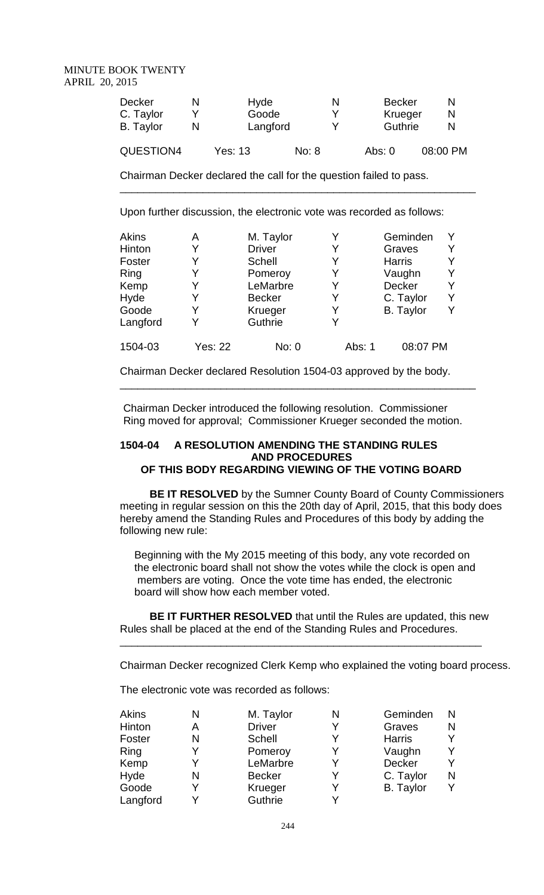| Decker<br>C. Taylor<br><b>B.</b> Taylor | N | Hyde<br>Goode<br>Langford |       | N<br>v<br>v | <b>Becker</b><br>Krueger<br>Guthrie |          |
|-----------------------------------------|---|---------------------------|-------|-------------|-------------------------------------|----------|
| QUESTION4                               |   | <b>Yes: 13</b>            | No: 8 |             | Abs: $0$                            | 08:00 PM |

\_\_\_\_\_\_\_\_\_\_\_\_\_\_\_\_\_\_\_\_\_\_\_\_\_\_\_\_\_\_\_\_\_\_\_\_\_\_\_\_\_\_\_\_\_\_\_\_\_\_\_\_\_\_\_\_\_\_\_\_

Chairman Decker declared the call for the question failed to pass.

Upon further discussion, the electronic vote was recorded as follows:

|                |               |                            |                  | Y                  |
|----------------|---------------|----------------------------|------------------|--------------------|
| Y              | <b>Schell</b> | Y                          | <b>Harris</b>    | Y                  |
| Y              | Pomeroy       | Y                          | Vaughn           | Y                  |
| Y              | LeMarbre      | Y                          | <b>Decker</b>    | Y                  |
| Y              | <b>Becker</b> | Y                          | C. Taylor        | Y                  |
| Y              | Krueger       |                            | <b>B.</b> Taylor |                    |
| Y              | Guthrie       | Y                          |                  |                    |
| <b>Yes: 22</b> | No: 0         | Abs: 1                     | 08:07 PM         |                    |
|                | Α<br>Y        | M. Taylor<br><b>Driver</b> |                  | Geminden<br>Graves |

Chairman Decker declared Resolution 1504-03 approved by the body.

Chairman Decker introduced the following resolution. Commissioner Ring moved for approval; Commissioner Krueger seconded the motion.

\_\_\_\_\_\_\_\_\_\_\_\_\_\_\_\_\_\_\_\_\_\_\_\_\_\_\_\_\_\_\_\_\_\_\_\_\_\_\_\_\_\_\_\_\_\_\_\_\_\_\_\_\_\_\_\_\_\_\_\_

# **1504-04 A RESOLUTION AMENDING THE STANDING RULES AND PROCEDURES OF THIS BODY REGARDING VIEWING OF THE VOTING BOARD**

 **BE IT RESOLVED** by the Sumner County Board of County Commissioners meeting in regular session on this the 20th day of April, 2015, that this body does hereby amend the Standing Rules and Procedures of this body by adding the following new rule:

Beginning with the My 2015 meeting of this body, any vote recorded on the electronic board shall not show the votes while the clock is open and members are voting. Once the vote time has ended, the electronic board will show how each member voted.

 **BE IT FURTHER RESOLVED** that until the Rules are updated, this new Rules shall be placed at the end of the Standing Rules and Procedures.

\_\_\_\_\_\_\_\_\_\_\_\_\_\_\_\_\_\_\_\_\_\_\_\_\_\_\_\_\_\_\_\_\_\_\_\_\_\_\_\_\_\_\_\_\_\_\_\_\_\_\_\_\_\_\_\_\_\_\_\_\_

Chairman Decker recognized Clerk Kemp who explained the voting board process.

The electronic vote was recorded as follows:

| Geminden<br>N         |
|-----------------------|
| Graves<br>N           |
| Y<br><b>Harris</b>    |
| Y<br>Vaughn           |
| Y<br><b>Decker</b>    |
| N<br>C. Taylor        |
| <b>B.</b> Taylor<br>Y |
|                       |
|                       |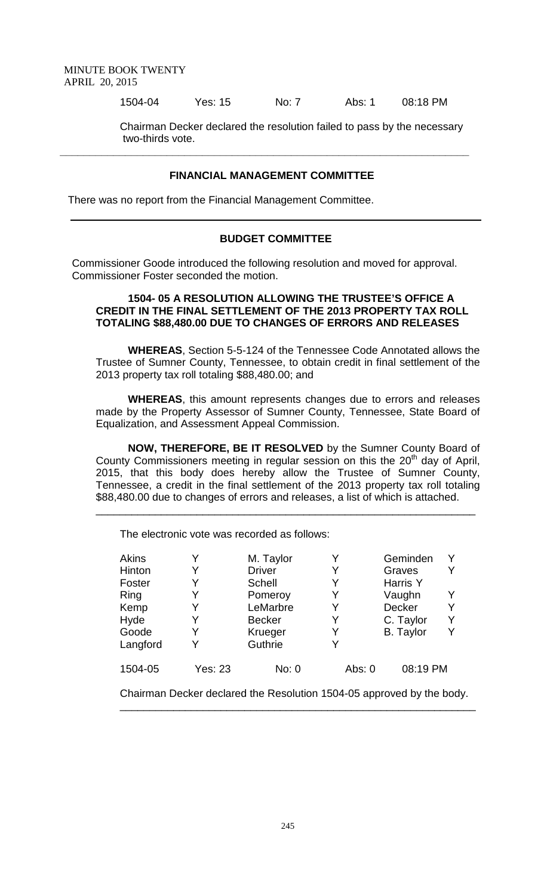1504-04 Yes: 15 No: 7 Abs: 1 08:18 PM

Chairman Decker declared the resolution failed to pass by the necessary two-thirds vote.

## **FINANCIAL MANAGEMENT COMMITTEE**

**\_\_\_\_\_\_\_\_\_\_\_\_\_\_\_\_\_\_\_\_\_\_\_\_\_\_\_\_\_\_\_\_\_\_\_\_\_\_\_\_\_\_\_\_\_\_\_\_\_\_\_\_\_\_\_\_\_\_\_\_\_\_\_\_\_\_\_\_\_**

There was no report from the Financial Management Committee.

# **BUDGET COMMITTEE**

Commissioner Goode introduced the following resolution and moved for approval. Commissioner Foster seconded the motion.

## **1504- 05 A RESOLUTION ALLOWING THE TRUSTEE'S OFFICE A CREDIT IN THE FINAL SETTLEMENT OF THE 2013 PROPERTY TAX ROLL TOTALING \$88,480.00 DUE TO CHANGES OF ERRORS AND RELEASES**

**WHEREAS**, Section 5-5-124 of the Tennessee Code Annotated allows the Trustee of Sumner County, Tennessee, to obtain credit in final settlement of the 2013 property tax roll totaling \$88,480.00; and

**WHEREAS**, this amount represents changes due to errors and releases made by the Property Assessor of Sumner County, Tennessee, State Board of Equalization, and Assessment Appeal Commission.

**NOW, THEREFORE, BE IT RESOLVED** by the Sumner County Board of County Commissioners meeting in regular session on this the  $20<sup>th</sup>$  day of April, 2015, that this body does hereby allow the Trustee of Sumner County, Tennessee, a credit in the final settlement of the 2013 property tax roll totaling \$88,480.00 due to changes of errors and releases, a list of which is attached.

\_\_\_\_\_\_\_\_\_\_\_\_\_\_\_\_\_\_\_\_\_\_\_\_\_\_\_\_\_\_\_\_\_\_\_\_\_\_\_\_\_\_\_\_\_\_\_\_\_\_\_\_\_\_\_\_\_\_\_\_\_\_\_\_

The electronic vote was recorded as follows:

| <b>Akins</b> |                | M. Taylor     |          | Geminden         | v |
|--------------|----------------|---------------|----------|------------------|---|
| Hinton       | Y              | <b>Driver</b> |          | Graves           |   |
| Foster       | Y              | Schell        |          | Harris Y         |   |
| Ring         | Y              | Pomeroy       |          | Vaughn           |   |
| Kemp         | Y              | LeMarbre      |          | Decker           | v |
| Hyde         | Y              | <b>Becker</b> |          | C. Taylor        | Υ |
| Goode        | Y              | Krueger       |          | <b>B.</b> Taylor | Y |
| Langford     | Y              | Guthrie       |          |                  |   |
| 1504-05      | <b>Yes: 23</b> | No: 0         | Abs: $0$ | 08:19 PM         |   |

Chairman Decker declared the Resolution 1504-05 approved by the body. \_\_\_\_\_\_\_\_\_\_\_\_\_\_\_\_\_\_\_\_\_\_\_\_\_\_\_\_\_\_\_\_\_\_\_\_\_\_\_\_\_\_\_\_\_\_\_\_\_\_\_\_\_\_\_\_\_\_\_\_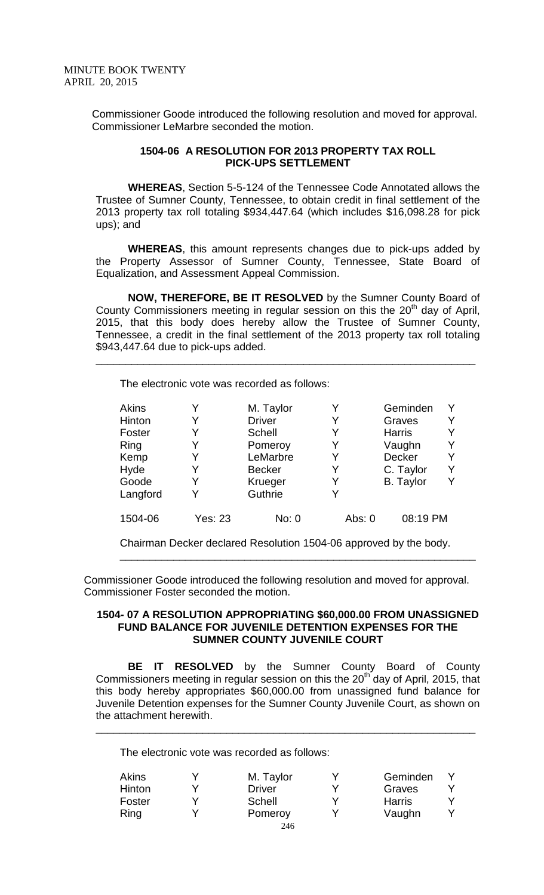Commissioner Goode introduced the following resolution and moved for approval. Commissioner LeMarbre seconded the motion.

## **1504-06 A RESOLUTION FOR 2013 PROPERTY TAX ROLL PICK-UPS SETTLEMENT**

**WHEREAS**, Section 5-5-124 of the Tennessee Code Annotated allows the Trustee of Sumner County, Tennessee, to obtain credit in final settlement of the 2013 property tax roll totaling \$934,447.64 (which includes \$16,098.28 for pick ups); and

**WHEREAS**, this amount represents changes due to pick-ups added by the Property Assessor of Sumner County, Tennessee, State Board of Equalization, and Assessment Appeal Commission.

**NOW, THEREFORE, BE IT RESOLVED** by the Sumner County Board of County Commissioners meeting in regular session on this the  $20<sup>th</sup>$  day of April, 2015, that this body does hereby allow the Trustee of Sumner County, Tennessee, a credit in the final settlement of the 2013 property tax roll totaling \$943,447.64 due to pick-ups added.

\_\_\_\_\_\_\_\_\_\_\_\_\_\_\_\_\_\_\_\_\_\_\_\_\_\_\_\_\_\_\_\_\_\_\_\_\_\_\_\_\_\_\_\_\_\_\_\_\_\_\_\_\_\_\_\_\_\_\_\_\_\_\_\_

The electronic vote was recorded as follows:

| Akins    |                | M. Taylor     | Y      | Geminden         |  |
|----------|----------------|---------------|--------|------------------|--|
| Hinton   | Y              | <b>Driver</b> | Y      | Graves           |  |
| Foster   | Y              | <b>Schell</b> | Y      | <b>Harris</b>    |  |
| Ring     | Y              | Pomeroy       |        | Vaughn           |  |
| Kemp     | Y              | LeMarbre      | Y      | Decker           |  |
| Hyde     | Y              | <b>Becker</b> | Y      | C. Taylor        |  |
| Goode    | Y              | Krueger       |        | <b>B.</b> Taylor |  |
| Langford | Y              | Guthrie       | Y      |                  |  |
| 1504-06  | <b>Yes: 23</b> | No: 0         | Abs: 0 | 08:19 PM         |  |

Chairman Decker declared Resolution 1504-06 approved by the body.

\_\_\_\_\_\_\_\_\_\_\_\_\_\_\_\_\_\_\_\_\_\_\_\_\_\_\_\_\_\_\_\_\_\_\_\_\_\_\_\_\_\_\_\_\_\_\_\_\_\_\_\_\_\_\_\_\_\_\_\_

Commissioner Goode introduced the following resolution and moved for approval. Commissioner Foster seconded the motion.

#### **1504- 07 A RESOLUTION APPROPRIATING \$60,000.00 FROM UNASSIGNED FUND BALANCE FOR JUVENILE DETENTION EXPENSES FOR THE SUMNER COUNTY JUVENILE COURT**

**BE IT RESOLVED** by the Sumner County Board of County Commissioners meeting in regular session on this the 20<sup>th</sup> day of April, 2015, that this body hereby appropriates \$60,000.00 from unassigned fund balance for Juvenile Detention expenses for the Sumner County Juvenile Court, as shown on the attachment herewith.

\_\_\_\_\_\_\_\_\_\_\_\_\_\_\_\_\_\_\_\_\_\_\_\_\_\_\_\_\_\_\_\_\_\_\_\_\_\_\_\_\_\_\_\_\_\_\_\_\_\_\_\_\_\_\_\_\_\_\_\_\_\_\_\_

The electronic vote was recorded as follows:

| Akins         | M. Taylor     | Geminden      |  |
|---------------|---------------|---------------|--|
| <b>Hinton</b> | <b>Driver</b> | Graves        |  |
| Foster        | Schell        | <b>Harris</b> |  |
| Ring          | Pomeroy       | Vaughn        |  |
|               | 246           |               |  |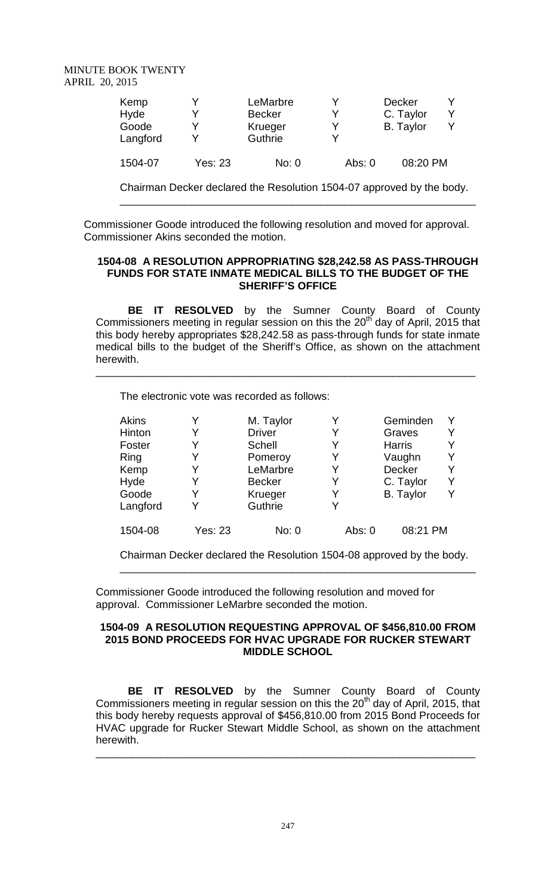| Kemp<br>Hyde<br>Goode<br>Langford |         | LeMarbre<br><b>Becker</b><br>Krueger<br>Guthrie |          | Decker<br>C. Taylor<br><b>B.</b> Taylor |  |
|-----------------------------------|---------|-------------------------------------------------|----------|-----------------------------------------|--|
| 1504-07                           | Yes: 23 | No: 0                                           | Abs: $0$ | 08:20 PM                                |  |

Chairman Decker declared the Resolution 1504-07 approved by the body. \_\_\_\_\_\_\_\_\_\_\_\_\_\_\_\_\_\_\_\_\_\_\_\_\_\_\_\_\_\_\_\_\_\_\_\_\_\_\_\_\_\_\_\_\_\_\_\_\_\_\_\_\_\_\_\_\_\_\_\_

Commissioner Goode introduced the following resolution and moved for approval. Commissioner Akins seconded the motion.

# **1504-08 A RESOLUTION APPROPRIATING \$28,242.58 AS PASS-THROUGH FUNDS FOR STATE INMATE MEDICAL BILLS TO THE BUDGET OF THE SHERIFF'S OFFICE**

**BE IT RESOLVED** by the Sumner County Board of County Commissioners meeting in regular session on this the  $20<sup>th</sup>$  day of April, 2015 that this body hereby appropriates \$28,242.58 as pass-through funds for state inmate medical bills to the budget of the Sheriff's Office, as shown on the attachment herewith.

\_\_\_\_\_\_\_\_\_\_\_\_\_\_\_\_\_\_\_\_\_\_\_\_\_\_\_\_\_\_\_\_\_\_\_\_\_\_\_\_\_\_\_\_\_\_\_\_\_\_\_\_\_\_\_\_\_\_\_\_\_\_\_\_

The electronic vote was recorded as follows:

| Akins    |         | M. Taylor     |        | Geminden         |  |
|----------|---------|---------------|--------|------------------|--|
| Hinton   | Y       | <b>Driver</b> | Y      | Graves           |  |
| Foster   | Y       | Schell        | Y      | <b>Harris</b>    |  |
| Ring     | Y       | Pomeroy       | Y      | Vaughn           |  |
| Kemp     | Y       | LeMarbre      | Y      | Decker           |  |
| Hyde     | Y       | <b>Becker</b> | Y      | C. Taylor        |  |
| Goode    | Y       | Krueger       | Y      | <b>B.</b> Taylor |  |
| Langford | Y       | Guthrie       | V      |                  |  |
| 1504-08  | Yes: 23 | No: 0         | Abs: 0 | 08:21 PM         |  |

Chairman Decker declared the Resolution 1504-08 approved by the body. \_\_\_\_\_\_\_\_\_\_\_\_\_\_\_\_\_\_\_\_\_\_\_\_\_\_\_\_\_\_\_\_\_\_\_\_\_\_\_\_\_\_\_\_\_\_\_\_\_\_\_\_\_\_\_\_\_\_\_\_

Commissioner Goode introduced the following resolution and moved for approval. Commissioner LeMarbre seconded the motion.

# **1504-09 A RESOLUTION REQUESTING APPROVAL OF \$456,810.00 FROM 2015 BOND PROCEEDS FOR HVAC UPGRADE FOR RUCKER STEWART MIDDLE SCHOOL**

**BE IT RESOLVED** by the Sumner County Board of County Commissioners meeting in regular session on this the 20<sup>th</sup> day of April, 2015, that this body hereby requests approval of \$456,810.00 from 2015 Bond Proceeds for HVAC upgrade for Rucker Stewart Middle School, as shown on the attachment herewith.